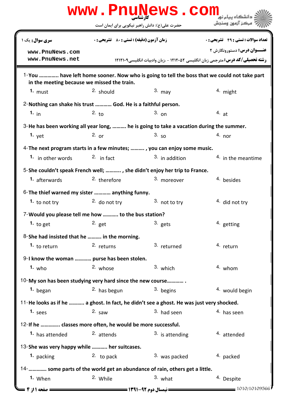|                                                                                                                                            |                                                                                                                                             | www.PnuNews.com   | رانشگاه سام نر                               |  |  |  |
|--------------------------------------------------------------------------------------------------------------------------------------------|---------------------------------------------------------------------------------------------------------------------------------------------|-------------------|----------------------------------------------|--|--|--|
|                                                                                                                                            | حضرت علی(ع): دانش راهبر نیکویی برای ایمان است                                                                                               |                   | مركز آزمون وسنجش                             |  |  |  |
| سری سوال: یک ۱                                                                                                                             | <b>زمان آزمون (دقیقه) : تستی : 80 ٪ تشریحی : 0</b><br><b>رشته تحصیلی/کد درس:</b> مترجمی زبان انگلیسی ۱۲۱۲۰۵۲ - ،زبان وادبیات انگلیسی1۲۱۲۱۰۹ |                   | <b>تعداد سوالات : تستي : 49 ۔ تشریحي : 0</b> |  |  |  |
| www.PnuNews.com<br>www.PnuNews.net                                                                                                         |                                                                                                                                             |                   | <b>عنـــوان درس:</b> دستورونگارش ۲           |  |  |  |
| 1-You  have left home sooner. Now who is going to tell the boss that we could not take part<br>in the meeting because we missed the train. |                                                                                                                                             |                   |                                              |  |  |  |
| 1. $must$                                                                                                                                  | $2.$ should                                                                                                                                 | $3.$ may          | $4.$ might                                   |  |  |  |
| 2- Nothing can shake his trust  God. He is a faithful person.                                                                              |                                                                                                                                             |                   |                                              |  |  |  |
| 1. $in$                                                                                                                                    | 2. t <sub>0</sub>                                                                                                                           | $3.$ on           | 4.at                                         |  |  |  |
| 3-He has been working all year long,  he is going to take a vacation during the summer.                                                    |                                                                                                                                             |                   |                                              |  |  |  |
| 1. $v$ et                                                                                                                                  | $2.$ or                                                                                                                                     | 3.50              | $4.$ nor                                     |  |  |  |
| 4- The next program starts in a few minutes; , you can enjoy some music.                                                                   |                                                                                                                                             |                   |                                              |  |  |  |
| 1. in other words                                                                                                                          | $2.$ in fact                                                                                                                                | $3.$ in addition  | <sup>4</sup> in the meantime                 |  |  |  |
| 5-She couldn't speak French well; , she didn't enjoy her trip to France.                                                                   |                                                                                                                                             |                   |                                              |  |  |  |
| 1. afterwards                                                                                                                              | 2. therefore                                                                                                                                | 3. moreover       | 4. besides                                   |  |  |  |
| 6-The thief warned my sister  anything funny.                                                                                              |                                                                                                                                             |                   |                                              |  |  |  |
| 1. to not try                                                                                                                              | 2. do not try                                                                                                                               | 3. not to try     | 4. did not try                               |  |  |  |
| 7-Would you please tell me how  to the bus station?                                                                                        |                                                                                                                                             |                   |                                              |  |  |  |
| 1. to get                                                                                                                                  | $2.$ get                                                                                                                                    | $3.$ gets         | <sup>4</sup> getting                         |  |  |  |
| 8-She had insisted that he  in the morning.                                                                                                |                                                                                                                                             |                   |                                              |  |  |  |
| 1. to return                                                                                                                               | 2. returns                                                                                                                                  | 3. returned       | 4. return                                    |  |  |  |
| 9-I know the woman  purse has been stolen.                                                                                                 |                                                                                                                                             |                   |                                              |  |  |  |
| 1. $who$                                                                                                                                   | 2. whose                                                                                                                                    | 3. which          | 4. whom                                      |  |  |  |
| 10-My son has been studying very hard since the new course                                                                                 |                                                                                                                                             |                   |                                              |  |  |  |
| <sup>1.</sup> began                                                                                                                        | <sup>2.</sup> has begun                                                                                                                     | 3. begins         | <sup>4.</sup> would begin                    |  |  |  |
| 11-He looks as if he  a ghost. In fact, he didn't see a ghost. He was just very shocked.                                                   |                                                                                                                                             |                   |                                              |  |  |  |
| 1. $sees$                                                                                                                                  | $2.$ saw                                                                                                                                    | 3. had seen       | 4. has seen                                  |  |  |  |
| 12-If he  classes more often, he would be more successful.                                                                                 |                                                                                                                                             |                   |                                              |  |  |  |
| 1. has attended                                                                                                                            | <sup>2.</sup> attends                                                                                                                       | $3.$ is attending | <sup>4</sup> attended                        |  |  |  |
| 13-She was very happy while  her suitcases.                                                                                                |                                                                                                                                             |                   |                                              |  |  |  |
| 1. packing                                                                                                                                 | 2. to pack                                                                                                                                  | 3. was packed     | 4. packed                                    |  |  |  |
| 14-  some parts of the world get an abundance of rain, others get a little.                                                                |                                                                                                                                             |                   |                                              |  |  |  |
| 1. When                                                                                                                                    | 2. While                                                                                                                                    | $3.$ what         | 4. Despite                                   |  |  |  |
| <b>= صفحه 1 از 4 ـــ</b>                                                                                                                   |                                                                                                                                             |                   | 1010/10109566                                |  |  |  |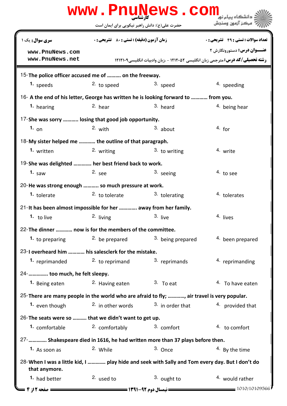|                                                                                                                 |                                                                    | www.PnuNews.com                                                                       |                                              |  |  |  |
|-----------------------------------------------------------------------------------------------------------------|--------------------------------------------------------------------|---------------------------------------------------------------------------------------|----------------------------------------------|--|--|--|
|                                                                                                                 | حضرت علی(ع): دانش راهبر نیکویی برای ایمان است                      |                                                                                       | ' مرڪز آزمون وسنڊش                           |  |  |  |
| <b>سری سوال:</b> یک ۱                                                                                           | <b>زمان آزمون (دقیقه) : تستی : 80 ٪ تشریحی : 0</b>                 |                                                                                       | <b>تعداد سوالات : تستي : 49 ۔ تشریحي : 0</b> |  |  |  |
| www.PnuNews.com                                                                                                 |                                                                    |                                                                                       | <b>عنــوان درس:</b> دستورونگارش ۲            |  |  |  |
| www.PnuNews.net                                                                                                 |                                                                    | <b>رشته تحصیلی/کد درس:</b> مترجمی زبان انگلیسی ۱۲۱۲۰۵۲ - ،زبان وادبیات انگلیسی۱۲۱۲۱۰۹ |                                              |  |  |  |
| 15-The police officer accused me of  on the freeway.                                                            |                                                                    |                                                                                       |                                              |  |  |  |
| 1. speeds                                                                                                       | 2. to speed                                                        | 3. speed                                                                              | 4. speeding                                  |  |  |  |
| 16- A the end of his letter, George has written he is looking forward to  from you.                             |                                                                    |                                                                                       |                                              |  |  |  |
| 1. hearing                                                                                                      | 2. hear                                                            | 3. heard                                                                              | <sup>4</sup> being hear                      |  |  |  |
| 17-She was sorry  losing that good job opportunity.                                                             |                                                                    |                                                                                       |                                              |  |  |  |
| 1. $_{\text{on}}$                                                                                               | $2.$ with                                                          | $3.$ about                                                                            | 4. for                                       |  |  |  |
| 18-My sister helped me  the outline of that paragraph.                                                          |                                                                    |                                                                                       |                                              |  |  |  |
| 1. written                                                                                                      | 2. writing                                                         | $3.$ to writing                                                                       | 4. write                                     |  |  |  |
| 19-She was delighted  her best friend back to work.                                                             |                                                                    |                                                                                       |                                              |  |  |  |
| 1. $saw$                                                                                                        | $2.$ see                                                           | 3. seeing                                                                             | 4. to see                                    |  |  |  |
| 20-He was strong enough  so much pressure at work.                                                              |                                                                    |                                                                                       |                                              |  |  |  |
| <sup>1.</sup> tolerate                                                                                          | <sup>2</sup> to tolerate                                           | 3. tolerating                                                                         | 4. tolerates                                 |  |  |  |
|                                                                                                                 | 21-It has been almost impossible for her  away from her family.    |                                                                                       |                                              |  |  |  |
| 1. to live                                                                                                      | 2. living                                                          | 3. live                                                                               | 4. lives                                     |  |  |  |
| 22-The dinner  now is for the members of the committee.                                                         |                                                                    |                                                                                       |                                              |  |  |  |
| 1. to preparing                                                                                                 | 2. be prepared                                                     | <sup>3.</sup> being prepared                                                          | 4. been prepared                             |  |  |  |
| 23-I overheard him  his salesclerk for the mistake.                                                             |                                                                    |                                                                                       |                                              |  |  |  |
|                                                                                                                 | 1. reprimanded $\frac{2}{1}$ to reprimand $\frac{3}{1}$ reprimands |                                                                                       | 4. reprimanding                              |  |  |  |
| 24-  too much, he felt sleepy.                                                                                  |                                                                    |                                                                                       |                                              |  |  |  |
| 1. Being eaten                                                                                                  | <sup>2.</sup> Having eaten                                         | $3.$ To eat                                                                           | 4. To have eaten                             |  |  |  |
| 25-There are many people in the world who are afraid to fly; , air travel is very popular.                      |                                                                    |                                                                                       |                                              |  |  |  |
| 1. even though                                                                                                  | <sup>2.</sup> in other words                                       | 3. in order that                                                                      | 4. provided that                             |  |  |  |
| 26-The seats were so  that we didn't want to get up.                                                            |                                                                    |                                                                                       |                                              |  |  |  |
| 1. comfortable                                                                                                  | 2. comfortably                                                     | 3. comfort                                                                            | 4. to comfort                                |  |  |  |
| 27-   Shakespeare died in 1616, he had written more than 37 plays before then.                                  |                                                                    |                                                                                       |                                              |  |  |  |
| 1. As soon as                                                                                                   | 2. While                                                           | 3. Once                                                                               | 4. By the time                               |  |  |  |
| 28-When I was a little kid, I  play hide and seek with Sally and Tom every day. But I don't do<br>that anymore. |                                                                    |                                                                                       |                                              |  |  |  |
| <sup>1.</sup> had better                                                                                        | <sup>2.</sup> used to                                              | 3. ought to                                                                           | 4. would rather                              |  |  |  |
|                                                                                                                 |                                                                    |                                                                                       |                                              |  |  |  |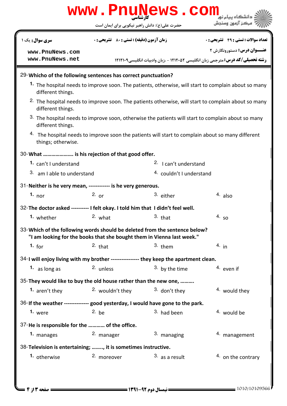| www.PnuNews.com<br>دانشگاه بیام نو <mark>ر</mark>                                                                                                    |                                                                                                                |                                               |                                                                                       |                                              |  |
|------------------------------------------------------------------------------------------------------------------------------------------------------|----------------------------------------------------------------------------------------------------------------|-----------------------------------------------|---------------------------------------------------------------------------------------|----------------------------------------------|--|
|                                                                                                                                                      |                                                                                                                | حضرت علی(ع): دانش راهبر نیکویی برای ایمان است |                                                                                       | ُ ' مرڪز آزمون وسنڊش                         |  |
| سری سوال: یک ۱                                                                                                                                       |                                                                                                                | زمان آزمون (دقیقه) : تستی : 80 ٪ تشریحی : 0   |                                                                                       | <b>تعداد سوالات : تستي : 49 - تشريحي : 0</b> |  |
| www.PnuNews.com<br>www.PnuNews.net                                                                                                                   |                                                                                                                |                                               | <b>رشته تحصیلی/کد درس:</b> مترجمی زبان انگلیسی ۱۲۱۲۰۵۲ - ،زبان وادبیات انگلیسی۱۲۱۲۱۰۹ | <b>عنــوان درس:</b> دستورونگارش ۲            |  |
| 29-Whicho of the following sentences has correct punctuation?                                                                                        |                                                                                                                |                                               |                                                                                       |                                              |  |
| 1. The hospital needs to improve soon. The patients, otherwise, will start to complain about so many<br>different things.                            |                                                                                                                |                                               |                                                                                       |                                              |  |
| different things.                                                                                                                                    | <sup>2.</sup> The hospital needs to improve soon. The patients otherwise, will start to complain about so many |                                               |                                                                                       |                                              |  |
| 3. The hospital needs to improve soon, otherwise the patients will start to complain about so many<br>different things.                              |                                                                                                                |                                               |                                                                                       |                                              |  |
| <sup>4.</sup> The hospital needs to improve soon the patients will start to complain about so many different<br>things; otherwise.                   |                                                                                                                |                                               |                                                                                       |                                              |  |
| 30-What  is his rejection of that good offer.                                                                                                        |                                                                                                                |                                               |                                                                                       |                                              |  |
| 1. can't I understand                                                                                                                                |                                                                                                                |                                               | <sup>2.</sup> I can't understand                                                      |                                              |  |
| 3. am I able to understand                                                                                                                           |                                                                                                                |                                               | 4. couldn't I understand                                                              |                                              |  |
| 31-Neither is he very mean, ------------ is he very generous.                                                                                        |                                                                                                                |                                               |                                                                                       |                                              |  |
| 1. nor                                                                                                                                               | 2. $or$                                                                                                        |                                               | 3. either                                                                             | $4.$ also                                    |  |
| 32- The doctor asked ---------- I felt okay. I told him that I didn't feel well.                                                                     |                                                                                                                |                                               |                                                                                       |                                              |  |
| 1. whether                                                                                                                                           | 2. what                                                                                                        |                                               | $3.$ that                                                                             | 4.50                                         |  |
| 33-Which of the following words should be deleted from the sentence below?<br>"I am looking for the books that she bought them in Vienna last week." |                                                                                                                |                                               |                                                                                       |                                              |  |
| 1. for                                                                                                                                               | $2.$ that                                                                                                      |                                               | $3.$ them                                                                             | 4. in                                        |  |
| 34-I will enjoy living with my brother ---------------- they keep the apartment clean.                                                               |                                                                                                                |                                               |                                                                                       |                                              |  |
| 1. as long as                                                                                                                                        | 2. unless                                                                                                      |                                               | 3. by the time                                                                        | 4. even if                                   |  |
| 35-They would like to buy the old house rather than the new one,                                                                                     |                                                                                                                |                                               |                                                                                       |                                              |  |
| 1. aren't they                                                                                                                                       | 2. wouldn't they                                                                                               |                                               | 3. don't they                                                                         | 4. would they                                |  |
|                                                                                                                                                      | 36-If the weather -------------- good yesterday, I would have gone to the park.                                |                                               |                                                                                       |                                              |  |
| 1. were                                                                                                                                              | $2.$ be                                                                                                        |                                               | 3. had been                                                                           | 4. would be                                  |  |
| 37-He is responsible for the  of the office.                                                                                                         |                                                                                                                |                                               |                                                                                       |                                              |  |
| 1. manages                                                                                                                                           | 2. manager                                                                                                     |                                               | 3. managing                                                                           | 4. management                                |  |
| 38-Television is entertaining; , it is sometimes instructive.                                                                                        |                                                                                                                |                                               |                                                                                       |                                              |  |
| 1. otherwise                                                                                                                                         | 2. moreover                                                                                                    |                                               | $3.$ as a result                                                                      | 4. on the contrary                           |  |
|                                                                                                                                                      |                                                                                                                |                                               |                                                                                       |                                              |  |